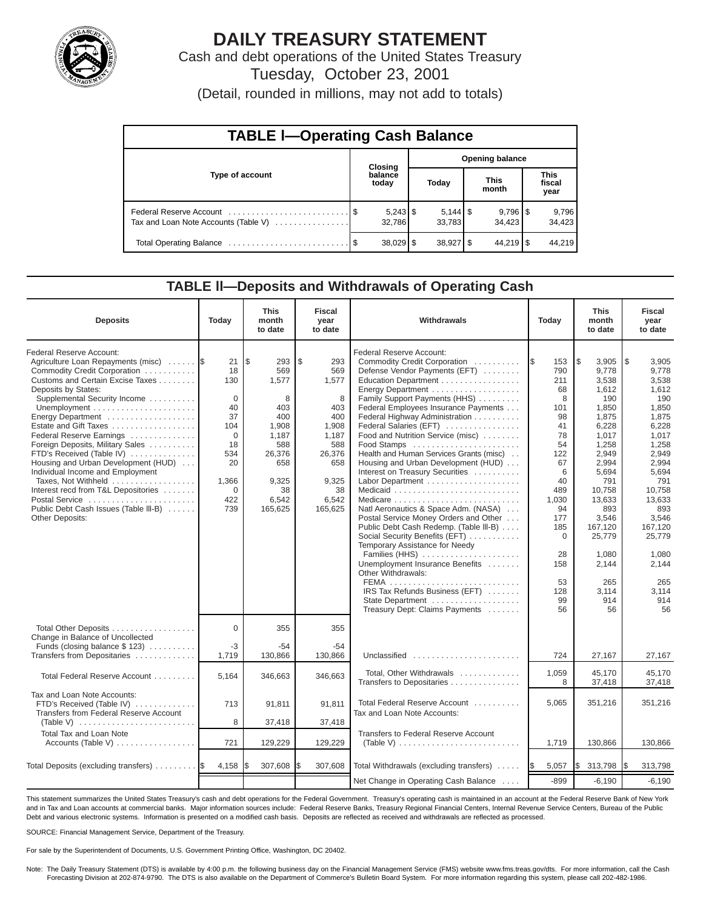

# **DAILY TREASURY STATEMENT**

Cash and debt operations of the United States Treasury Tuesday, October 23, 2001

(Detail, rounded in millions, may not add to totals)

| <b>TABLE I-Operating Cash Balance</b> |  |                      |                        |                                 |  |                        |  |                               |  |  |
|---------------------------------------|--|----------------------|------------------------|---------------------------------|--|------------------------|--|-------------------------------|--|--|
|                                       |  | Closing              | <b>Opening balance</b> |                                 |  |                        |  |                               |  |  |
| Type of account                       |  | balance<br>today     |                        | Today                           |  | <b>This</b><br>month   |  | <b>This</b><br>fiscal<br>year |  |  |
| Tax and Loan Note Accounts (Table V)  |  | $5,243$ \$<br>32.786 |                        | $5,144$ $\frac{1}{9}$<br>33.783 |  | $9,796$ \ \$<br>34.423 |  | 9,796<br>34,423               |  |  |
|                                       |  | $38,029$ \$          |                        | $38,927$ \$                     |  | $44,219$ \ \$          |  | 44.219                        |  |  |

#### **TABLE ll—Deposits and Withdrawals of Operating Cash**

| <b>Deposits</b>                                                                                                                                                                                                                                                                                                                                                                                                                                                                                                                                                    | Today                                                                                                            | <b>This</b><br>month<br>to date                                                                                            | <b>Fiscal</b><br>year<br>to date                                                                                          | Withdrawals                                                                                                                                                                                                                                                                                                                                                                                                                                                                                                                                                                                                                                                                                                                                                                                                                                            | Today                                                                                                                                                                               | <b>This</b><br>month<br>to date                                                                                                                                                                                                        | <b>Fiscal</b><br>year<br>to date                                                                                                                                                                                                             |
|--------------------------------------------------------------------------------------------------------------------------------------------------------------------------------------------------------------------------------------------------------------------------------------------------------------------------------------------------------------------------------------------------------------------------------------------------------------------------------------------------------------------------------------------------------------------|------------------------------------------------------------------------------------------------------------------|----------------------------------------------------------------------------------------------------------------------------|---------------------------------------------------------------------------------------------------------------------------|--------------------------------------------------------------------------------------------------------------------------------------------------------------------------------------------------------------------------------------------------------------------------------------------------------------------------------------------------------------------------------------------------------------------------------------------------------------------------------------------------------------------------------------------------------------------------------------------------------------------------------------------------------------------------------------------------------------------------------------------------------------------------------------------------------------------------------------------------------|-------------------------------------------------------------------------------------------------------------------------------------------------------------------------------------|----------------------------------------------------------------------------------------------------------------------------------------------------------------------------------------------------------------------------------------|----------------------------------------------------------------------------------------------------------------------------------------------------------------------------------------------------------------------------------------------|
| Federal Reserve Account:<br>Agriculture Loan Repayments (misc)<br>Commodity Credit Corporation<br>Customs and Certain Excise Taxes<br>Deposits by States:<br>Supplemental Security Income<br>Energy Department<br>Estate and Gift Taxes<br>Federal Reserve Earnings<br>Foreign Deposits, Military Sales<br>FTD's Received (Table IV)<br>Housing and Urban Development (HUD)<br>Individual Income and Employment<br>Taxes, Not Withheld<br>Interest recd from T&L Depositories<br>Postal Service<br>Public Debt Cash Issues (Table III-B)<br><b>Other Deposits:</b> | 21<br>18<br>130<br>$\Omega$<br>40<br>37<br>104<br>$\Omega$<br>18<br>534<br>20<br>1,366<br>$\Omega$<br>422<br>739 | l\$<br>293<br>569<br>1,577<br>8<br>403<br>400<br>1,908<br>1,187<br>588<br>26,376<br>658<br>9,325<br>38<br>6,542<br>165,625 | \$<br>293<br>569<br>1,577<br>8<br>403<br>400<br>1.908<br>1,187<br>588<br>26,376<br>658<br>9,325<br>38<br>6,542<br>165,625 | Federal Reserve Account:<br>Commodity Credit Corporation<br>Defense Vendor Payments (EFT)<br>Education Department<br>Energy Department<br>Family Support Payments (HHS)<br>Federal Employees Insurance Payments<br>Federal Highway Administration<br>Federal Salaries (EFT)<br>Food and Nutrition Service (misc)<br>Food Stamps<br>Health and Human Services Grants (misc)<br>Housing and Urban Development (HUD)<br>Interest on Treasury Securities<br>Labor Department<br>Medicare<br>Natl Aeronautics & Space Adm. (NASA)<br>Postal Service Money Orders and Other<br>Public Debt Cash Redemp. (Table III-B)<br>Social Security Benefits (EFT)<br>Temporary Assistance for Needy<br>Families (HHS)<br>Unemployment Insurance Benefits<br>Other Withdrawals:<br>IRS Tax Refunds Business (EFT)<br>State Department<br>Treasury Dept: Claims Payments | 153<br>I\$<br>790<br>211<br>68<br>8<br>101<br>98<br>41<br>78<br>54<br>122<br>67<br>6<br>40<br>489<br>1,030<br>94<br>177<br>185<br>$\mathbf 0$<br>28<br>158<br>53<br>128<br>99<br>56 | l \$<br>3,905<br>9,778<br>3,538<br>1,612<br>190<br>1,850<br>1,875<br>6.228<br>1,017<br>1,258<br>2.949<br>2,994<br>5,694<br>791<br>10,758<br>13,633<br>893<br>3,546<br>167,120<br>25,779<br>1.080<br>2,144<br>265<br>3,114<br>914<br>56 | $\sqrt{3}$<br>3,905<br>9,778<br>3,538<br>1,612<br>190<br>1,850<br>1,875<br>6,228<br>1,017<br>1,258<br>2,949<br>2,994<br>5,694<br>791<br>10.758<br>13,633<br>893<br>3,546<br>167,120<br>25,779<br>1,080<br>2,144<br>265<br>3,114<br>914<br>56 |
| Total Other Deposits<br>Change in Balance of Uncollected<br>Funds (closing balance $$ 123)$                                                                                                                                                                                                                                                                                                                                                                                                                                                                        | $\Omega$<br>-3                                                                                                   | 355<br>$-54$                                                                                                               | 355<br>-54                                                                                                                |                                                                                                                                                                                                                                                                                                                                                                                                                                                                                                                                                                                                                                                                                                                                                                                                                                                        |                                                                                                                                                                                     |                                                                                                                                                                                                                                        |                                                                                                                                                                                                                                              |
| Transfers from Depositaries<br>Total Federal Reserve Account                                                                                                                                                                                                                                                                                                                                                                                                                                                                                                       | 1,719<br>5,164                                                                                                   | 130,866<br>346,663                                                                                                         | 130,866<br>346,663                                                                                                        | Unclassified<br>Total, Other Withdrawals<br>Transfers to Depositaries                                                                                                                                                                                                                                                                                                                                                                                                                                                                                                                                                                                                                                                                                                                                                                                  | 724<br>1,059<br>8                                                                                                                                                                   | 27,167<br>45.170<br>37,418                                                                                                                                                                                                             | 27,167<br>45.170<br>37,418                                                                                                                                                                                                                   |
| Tax and Loan Note Accounts:<br>FTD's Received (Table IV)<br>Transfers from Federal Reserve Account<br>(Table V) $\ldots \ldots \ldots \ldots \ldots \ldots \ldots$                                                                                                                                                                                                                                                                                                                                                                                                 | 713<br>8                                                                                                         | 91,811<br>37,418                                                                                                           | 91,811<br>37,418                                                                                                          | Total Federal Reserve Account<br>Tax and Loan Note Accounts:                                                                                                                                                                                                                                                                                                                                                                                                                                                                                                                                                                                                                                                                                                                                                                                           | 5,065                                                                                                                                                                               | 351,216                                                                                                                                                                                                                                | 351,216                                                                                                                                                                                                                                      |
| <b>Total Tax and Loan Note</b>                                                                                                                                                                                                                                                                                                                                                                                                                                                                                                                                     | 721                                                                                                              | 129,229                                                                                                                    | 129,229                                                                                                                   | <b>Transfers to Federal Reserve Account</b><br>(Table V) $\ldots \ldots \ldots \ldots \ldots \ldots \ldots \ldots$                                                                                                                                                                                                                                                                                                                                                                                                                                                                                                                                                                                                                                                                                                                                     | 1,719                                                                                                                                                                               | 130,866                                                                                                                                                                                                                                | 130,866                                                                                                                                                                                                                                      |
| Total Deposits (excluding transfers)                                                                                                                                                                                                                                                                                                                                                                                                                                                                                                                               | 4,158                                                                                                            | 307,608                                                                                                                    | \$<br>307,608                                                                                                             | Total Withdrawals (excluding transfers)                                                                                                                                                                                                                                                                                                                                                                                                                                                                                                                                                                                                                                                                                                                                                                                                                | 5,057<br><b>IS</b>                                                                                                                                                                  | \$<br>313,798                                                                                                                                                                                                                          | 313,798<br>I\$                                                                                                                                                                                                                               |
|                                                                                                                                                                                                                                                                                                                                                                                                                                                                                                                                                                    |                                                                                                                  |                                                                                                                            |                                                                                                                           | Net Change in Operating Cash Balance                                                                                                                                                                                                                                                                                                                                                                                                                                                                                                                                                                                                                                                                                                                                                                                                                   | $-899$                                                                                                                                                                              | $-6,190$                                                                                                                                                                                                                               | $-6,190$                                                                                                                                                                                                                                     |

This statement summarizes the United States Treasury's cash and debt operations for the Federal Government. Treasury's operating cash is maintained in an account at the Federal Reserve Bank of New York and in Tax and Loan accounts at commercial banks. Major information sources include: Federal Reserve Banks, Treasury Regional Financial Centers, Internal Revenue Service Centers, Bureau of the Public Debt and various electronic systems. Information is presented on a modified cash basis. Deposits are reflected as received and withdrawals are reflected as processed.

SOURCE: Financial Management Service, Department of the Treasury.

For sale by the Superintendent of Documents, U.S. Government Printing Office, Washington, DC 20402.

Note: The Daily Treasury Statement (DTS) is available by 4:00 p.m. the following business day on the Financial Management Service (FMS) website www.fms.treas.gov/dts. For more information, call the Cash Forecasting Division at 202-874-9790. The DTS is also available on the Department of Commerce's Bulletin Board System. For more information regarding this system, please call 202-482-1986.